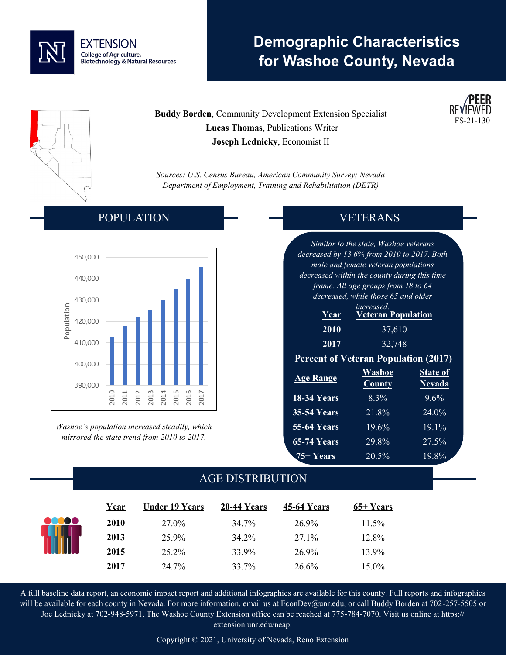

# **Demographic Characteristics for Washoe County, Nevada**

**Buddy Borden**, Community Development Extension Specialist  **Lucas Thomas**, Publications Writer **Joseph Lednicky**, Economist II

*Sources: U.S. Census Bureau, American Community Survey; Nevada Department of Employment, Training and Rehabilitation (DETR)*

### POPULATION



*Washoe's population increased steadily, which mirrored the state trend from 2010 to 2017.*

### VETERANS

FS-21-130

*Similar to the state, Washoe veterans decreased by 13.6% from 2010 to 2017. Both male and female veteran populations decreased within the county during this time frame. All age groups from 18 to 64 decreased, while those 65 and older* 

| <i>increased.</i> |                           |  |  |  |  |
|-------------------|---------------------------|--|--|--|--|
| Year <sup>'</sup> | <b>Veteran Population</b> |  |  |  |  |
| 2010              | 37,610                    |  |  |  |  |
| 2017              | 32,748                    |  |  |  |  |

#### **Percent of Veteran Population (2017)**

| <b>Age Range</b>   | Washoe<br><b>County</b> | <b>State of</b><br><b>Nevada</b> |
|--------------------|-------------------------|----------------------------------|
| 18-34 Years        | $8.3\%$                 | $9.6\%$                          |
| <b>35-54 Years</b> | 21.8%                   | 24.0%                            |
| <b>55-64 Years</b> | 19.6%                   | 19.1%                            |
| $65-74$ Years      | 29.8%                   | 27.5%                            |
| <b>75+ Years</b>   | 20.5%                   | 19.8%                            |

### AGE DISTRIBUTION

|       | Year | <b>Under 19 Years</b> | 20-44 Years | 45-64 Years | 65+ Years |  |
|-------|------|-----------------------|-------------|-------------|-----------|--|
| 00000 | 2010 | 27.0%                 | 34.7%       | 26.9%       | $11.5\%$  |  |
|       | 2013 | 25.9%                 | 34.2%       | 27.1%       | 12.8%     |  |
|       | 2015 | 25.2%                 | 33.9%       | 26.9%       | 13.9%     |  |
|       | 2017 | 24.7%                 | 33.7%       | 26.6%       | 15.0%     |  |

A full baseline data report, an economic impact report and additional infographics are available for this county. Full reports and infographics will be available for each county in Nevada. For more information, email us at EconDev@unr.edu, or call Buddy Borden at 702-257-5505 or Joe Lednicky at 702-948-5971. The Washoe County Extension office can be reached at 775-784-7070. Visit us online at https:// extension.unr.edu/neap.

Copyright © 2021, University of Nevada, Reno Extension